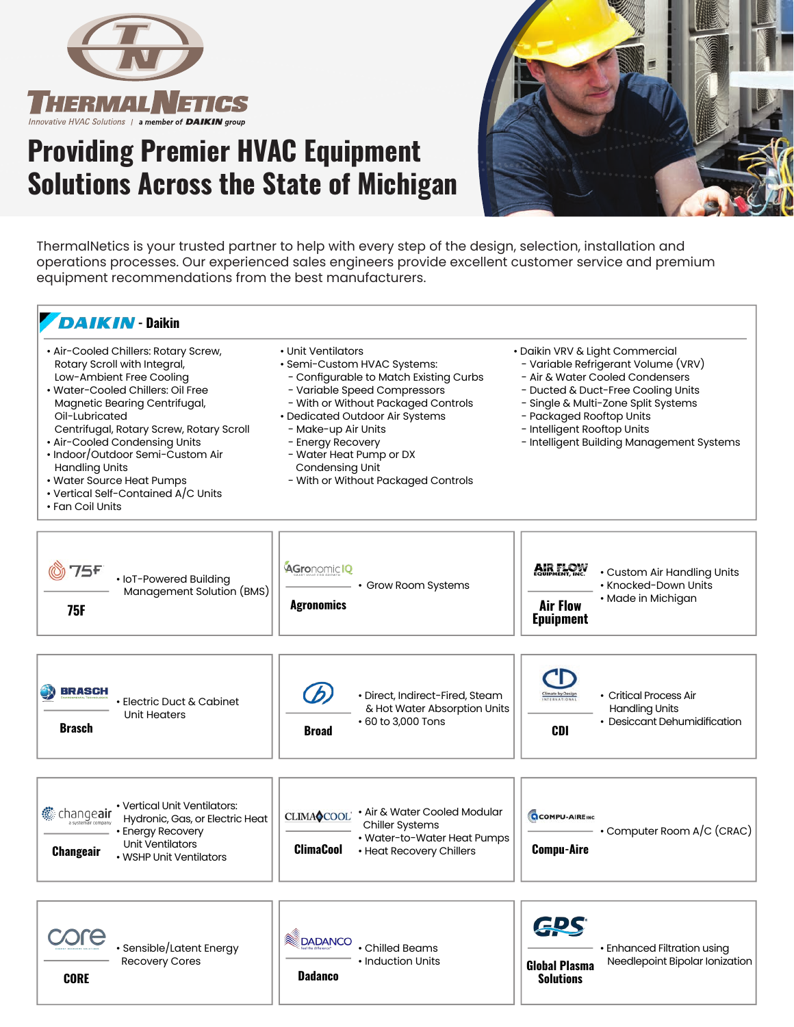

## **Providing Premier HVAC Equipment Solutions Across the State of Michigan**



ThermalNetics is your trusted partner to help with every step of the design, selection, installation and operations processes. Our experienced sales engineers provide excellent customer service and premium equipment recommendations from the best manufacturers.